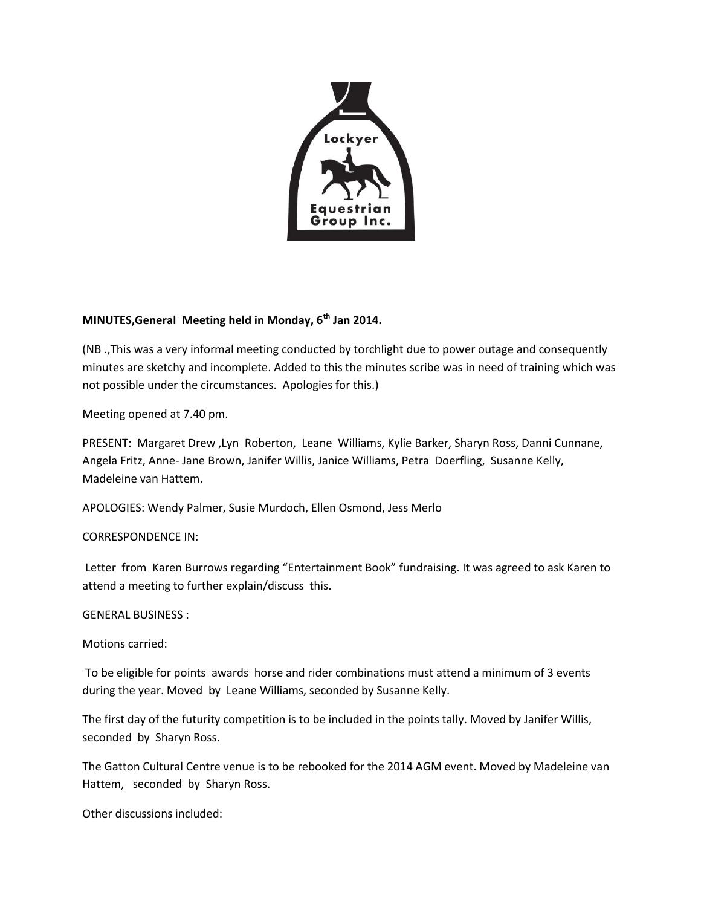

## **MINUTES,General Meeting held in Monday, 6th Jan 2014.**

(NB .,This was a very informal meeting conducted by torchlight due to power outage and consequently minutes are sketchy and incomplete. Added to this the minutes scribe was in need of training which was not possible under the circumstances. Apologies for this.)

Meeting opened at 7.40 pm.

PRESENT: Margaret Drew ,Lyn Roberton, Leane Williams, Kylie Barker, Sharyn Ross, Danni Cunnane, Angela Fritz, Anne- Jane Brown, Janifer Willis, Janice Williams, Petra Doerfling, Susanne Kelly, Madeleine van Hattem.

APOLOGIES: Wendy Palmer, Susie Murdoch, Ellen Osmond, Jess Merlo

## CORRESPONDENCE IN:

Letter from Karen Burrows regarding "Entertainment Book" fundraising. It was agreed to ask Karen to attend a meeting to further explain/discuss this.

## GENERAL BUSINESS :

Motions carried:

To be eligible for points awards horse and rider combinations must attend a minimum of 3 events during the year. Moved by Leane Williams, seconded by Susanne Kelly.

The first day of the futurity competition is to be included in the points tally. Moved by Janifer Willis, seconded by Sharyn Ross.

The Gatton Cultural Centre venue is to be rebooked for the 2014 AGM event. Moved by Madeleine van Hattem, seconded by Sharyn Ross.

Other discussions included: